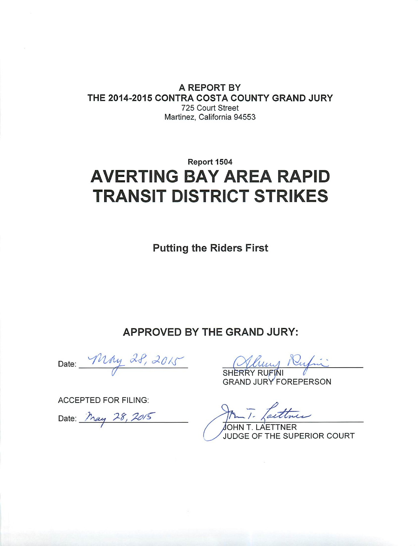A REPORT BY THE 2014-2015 CONTRA COSTA COUNTY GRAND JURY 725 Court Street Martinez, California 94553

# Report 1504 **AVERTING BAY AREA RAPID TRANSIT DISTRICT STRIKES**

**Putting the Riders First** 

APPROVED BY THE GRAND JURY:

Date: May 28, 2015

**ACCEPTED FOR FILING:** 

Date: May 28, 2015

**GRAND JURY FOREPERSON** 

Taittu.

**LAETTNER** JUDGE OF THE SUPERIOR COURT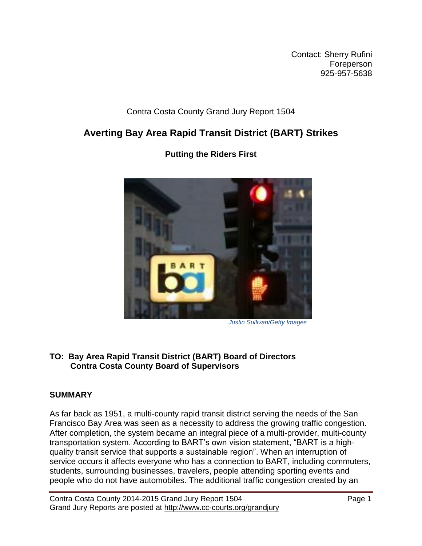Contact: Sherry Rufini Foreperson 925-957-5638

## Contra Costa County Grand Jury Report 1504

## **Averting Bay Area Rapid Transit District (BART) Strikes**



**Putting the Riders First**

 *Justin Sullivan/Getty Images*

## **TO: Bay Area Rapid Transit District (BART) Board of Directors Contra Costa County Board of Supervisors**

## **SUMMARY**

As far back as 1951, a multi-county rapid transit district serving the needs of the San Francisco Bay Area was seen as a necessity to address the growing traffic congestion. After completion, the system became an integral piece of a multi-provider, multi-county transportation system. According to BART's own vision statement, "BART is a highquality transit service that supports a sustainable region". When an interruption of service occurs it affects everyone who has a connection to BART, including commuters, students, surrounding businesses, travelers, people attending sporting events and people who do not have automobiles. The additional traffic congestion created by an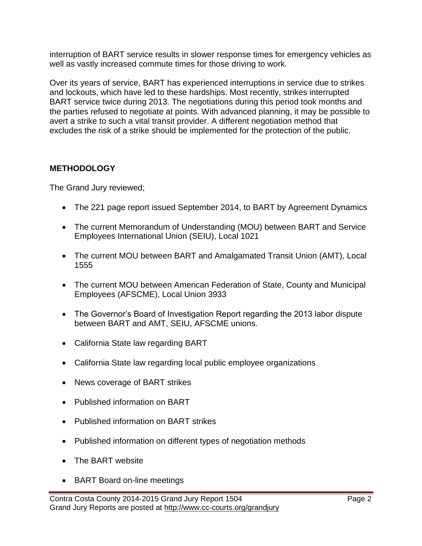interruption of BART service results in slower response times for emergency vehicles as well as vastly increased commute times for those driving to work.

Over its years of service, BART has experienced interruptions in service due to strikes and lockouts, which have led to these hardships. Most recently, strikes interrupted BART service twice during 2013. The negotiations during this period took months and the parties refused to negotiate at points. With advanced planning, it may be possible to avert a strike to such a vital transit provider. A different negotiation method that excludes the risk of a strike should be implemented for the protection of the public.

## **METHODOLOGY**

The Grand Jury reviewed;

- The 221 page report issued September 2014, to BART by Agreement Dynamics
- The current Memorandum of Understanding (MOU) between BART and Service Employees International Union (SEIU), Local 1021
- The current MOU between BART and Amalgamated Transit Union (AMT), Local 1555
- The current MOU between American Federation of State, County and Municipal Employees (AFSCME), Local Union 3933
- The Governor's Board of Investigation Report regarding the 2013 labor dispute between BART and AMT, SEIU, AFSCME unions.
- California State law regarding BART
- California State law regarding local public employee organizations
- News coverage of BART strikes
- Published information on BART
- Published information on BART strikes
- Published information on different types of negotiation methods
- The BART website
- BART Board on-line meetings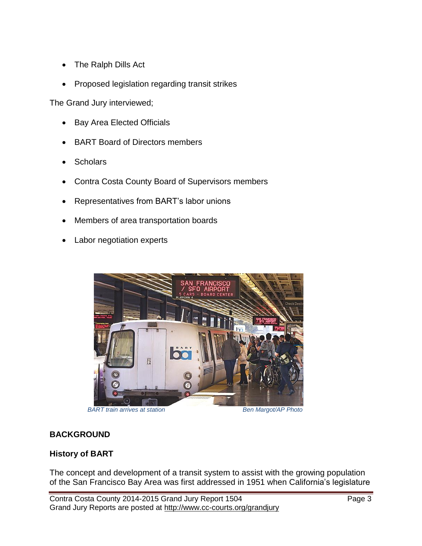- The Ralph Dills Act
- Proposed legislation regarding transit strikes

The Grand Jury interviewed;

- Bay Area Elected Officials
- BART Board of Directors members
- **Scholars**
- Contra Costa County Board of Supervisors members
- Representatives from BART's labor unions
- Members of area transportation boards
- Labor negotiation experts



**BART train arrives at station** Ben Margot/AP Photo

#### **BACKGROUND**

#### **History of BART**

The concept and development of a transit system to assist with the growing population of the San Francisco Bay Area was first addressed in 1951 when California's legislature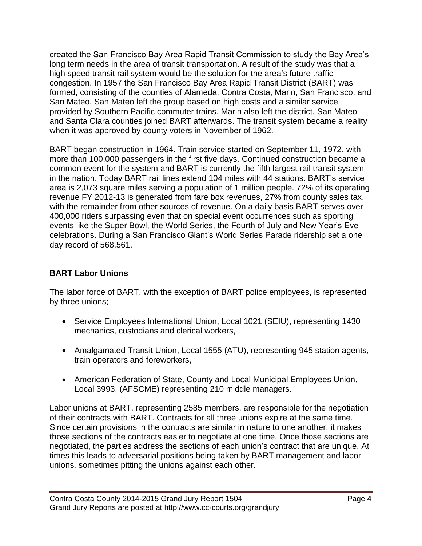created the San Francisco Bay Area Rapid Transit Commission to study the Bay Area's long term needs in the area of transit transportation. A result of the study was that a high speed transit rail system would be the solution for the area's future traffic congestion. In 1957 the San Francisco Bay Area Rapid Transit District (BART) was formed, consisting of the counties of Alameda, Contra Costa, Marin, San Francisco, and San Mateo. San Mateo left the group based on high costs and a similar service provided by Southern Pacific commuter trains. Marin also left the district. San Mateo and Santa Clara counties joined BART afterwards. The transit system became a reality when it was approved by county voters in November of 1962.

BART began construction in 1964. Train service started on September 11, 1972, with more than 100,000 passengers in the first five days. Continued construction became a common event for the system and BART is currently the fifth largest rail transit system in the nation. Today BART rail lines extend 104 miles with 44 stations. BART's service area is 2,073 square miles serving a population of 1 million people. 72% of its operating revenue FY 2012-13 is generated from fare box revenues, 27% from county sales tax, with the remainder from other sources of revenue. On a daily basis BART serves over 400,000 riders surpassing even that on special event occurrences such as sporting events like the Super Bowl, the World Series, the Fourth of July and New Year's Eve celebrations. During a San Francisco Giant's World Series Parade ridership set a one day record of 568,561.

## **BART Labor Unions**

The labor force of BART, with the exception of BART police employees, is represented by three unions;

- Service Employees International Union, Local 1021 (SEIU), representing 1430 mechanics, custodians and clerical workers,
- Amalgamated Transit Union, Local 1555 (ATU), representing 945 station agents, train operators and foreworkers,
- American Federation of State, County and Local Municipal Employees Union, Local 3993, (AFSCME) representing 210 middle managers.

Labor unions at BART, representing 2585 members, are responsible for the negotiation of their contracts with BART. Contracts for all three unions expire at the same time. Since certain provisions in the contracts are similar in nature to one another, it makes those sections of the contracts easier to negotiate at one time. Once those sections are negotiated, the parties address the sections of each union's contract that are unique. At times this leads to adversarial positions being taken by BART management and labor unions, sometimes pitting the unions against each other.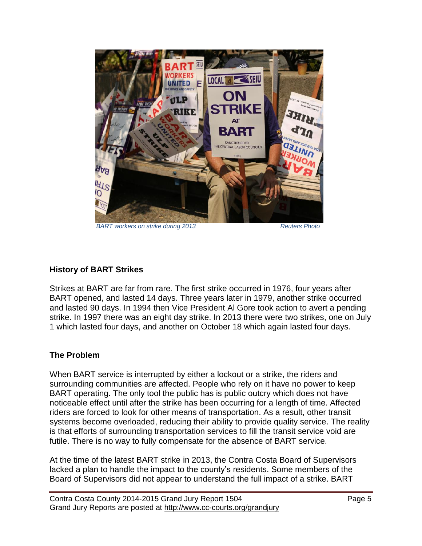

**BART** workers on strike during 2013 **Reuters Photo** 

#### **History of BART Strikes**

Strikes at BART are far from rare. The first strike occurred in 1976, four years after BART opened, and lasted 14 days. Three years later in 1979, another strike occurred and lasted 90 days. In 1994 then Vice President Al Gore took action to avert a pending strike. In 1997 there was an eight day strike. In 2013 there were two strikes, one on July 1 which lasted four days, and another on October 18 which again lasted four days.

#### **The Problem**

When BART service is interrupted by either a lockout or a strike, the riders and surrounding communities are affected. People who rely on it have no power to keep BART operating. The only tool the public has is public outcry which does not have noticeable effect until after the strike has been occurring for a length of time. Affected riders are forced to look for other means of transportation. As a result, other transit systems become overloaded, reducing their ability to provide quality service. The reality is that efforts of surrounding transportation services to fill the transit service void are futile. There is no way to fully compensate for the absence of BART service.

At the time of the latest BART strike in 2013, the Contra Costa Board of Supervisors lacked a plan to handle the impact to the county's residents. Some members of the Board of Supervisors did not appear to understand the full impact of a strike. BART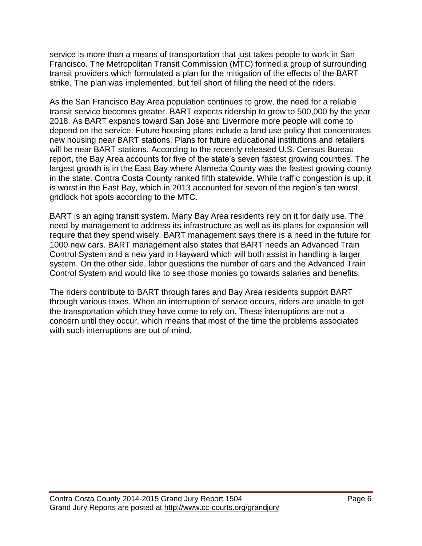service is more than a means of transportation that just takes people to work in San Francisco. The Metropolitan Transit Commission (MTC) formed a group of surrounding transit providers which formulated a plan for the mitigation of the effects of the BART strike. The plan was implemented, but fell short of filling the need of the riders.

As the San Francisco Bay Area population continues to grow, the need for a reliable transit service becomes greater. BART expects ridership to grow to 500,000 by the year 2018. As BART expands toward San Jose and Livermore more people will come to depend on the service. Future housing plans include a land use policy that concentrates new housing near BART stations. Plans for future educational institutions and retailers will be near BART stations. According to the recently released U.S. Census Bureau report, the Bay Area accounts for five of the state's seven fastest growing counties. The largest growth is in the East Bay where Alameda County was the fastest growing county in the state. Contra Costa County ranked fifth statewide. While traffic congestion is up, it is worst in the East Bay, which in 2013 accounted for seven of the region's ten worst gridlock hot spots according to the MTC.

BART is an aging transit system. Many Bay Area residents rely on it for daily use. The need by management to address its infrastructure as well as its plans for expansion will require that they spend wisely. BART management says there is a need in the future for 1000 new cars. BART management also states that BART needs an Advanced Train Control System and a new yard in Hayward which will both assist in handling a larger system. On the other side, labor questions the number of cars and the Advanced Train Control System and would like to see those monies go towards salaries and benefits.

The riders contribute to BART through fares and Bay Area residents support BART through various taxes. When an interruption of service occurs, riders are unable to get the transportation which they have come to rely on. These interruptions are not a concern until they occur, which means that most of the time the problems associated with such interruptions are out of mind.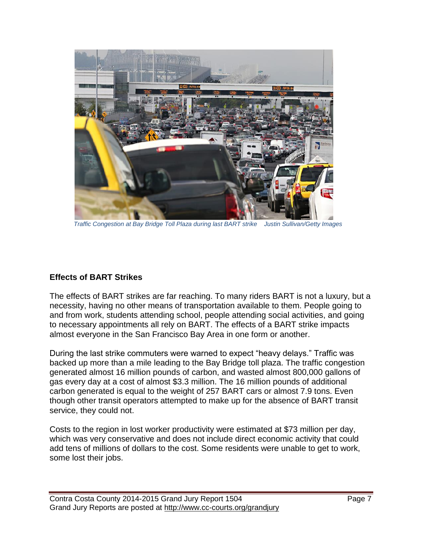

 *Traffic Congestion at Bay Bridge Toll Plaza during last BART strike Justin Sullivan/Getty Images*

#### **Effects of BART Strikes**

The effects of BART strikes are far reaching. To many riders BART is not a luxury, but a necessity, having no other means of transportation available to them. People going to and from work, students attending school, people attending social activities, and going to necessary appointments all rely on BART. The effects of a BART strike impacts almost everyone in the San Francisco Bay Area in one form or another.

During the last strike commuters were warned to expect "heavy delays." Traffic was backed up more than a mile leading to the Bay Bridge toll plaza. The traffic congestion generated almost 16 million pounds of carbon, and wasted almost 800,000 gallons of gas every day at a cost of almost \$3.3 million. The 16 million pounds of additional carbon generated is equal to the weight of 257 BART cars or almost 7.9 tons. Even though other transit operators attempted to make up for the absence of BART transit service, they could not.

Costs to the region in lost worker productivity were estimated at \$73 million per day, which was very conservative and does not include direct economic activity that could add tens of millions of dollars to the cost. Some residents were unable to get to work, some lost their jobs.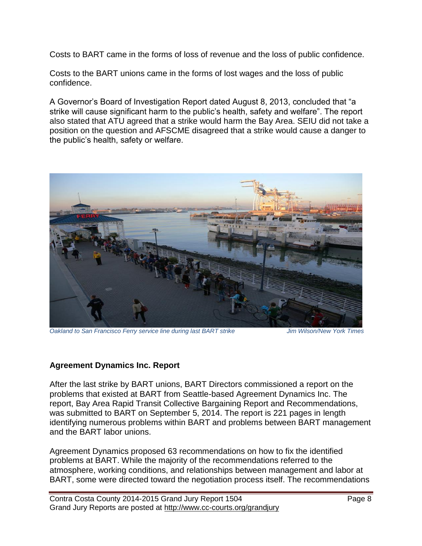Costs to BART came in the forms of loss of revenue and the loss of public confidence.

Costs to the BART unions came in the forms of lost wages and the loss of public confidence.

A Governor's Board of Investigation Report dated August 8, 2013, concluded that "a strike will cause significant harm to the public's health, safety and welfare". The report also stated that ATU agreed that a strike would harm the Bay Area. SEIU did not take a position on the question and AFSCME disagreed that a strike would cause a danger to the public's health, safety or welfare.



*Oakland to San Francisco Ferry service line during last BART strike Jim Wilson/New York Times*

#### **Agreement Dynamics Inc. Report**

After the last strike by BART unions, BART Directors commissioned a report on the problems that existed at BART from Seattle-based Agreement Dynamics Inc. The report, Bay Area Rapid Transit Collective Bargaining Report and Recommendations, was submitted to BART on September 5, 2014. The report is 221 pages in length identifying numerous problems within BART and problems between BART management and the BART labor unions.

Agreement Dynamics proposed 63 recommendations on how to fix the identified problems at BART. While the majority of the recommendations referred to the atmosphere, working conditions, and relationships between management and labor at BART, some were directed toward the negotiation process itself. The recommendations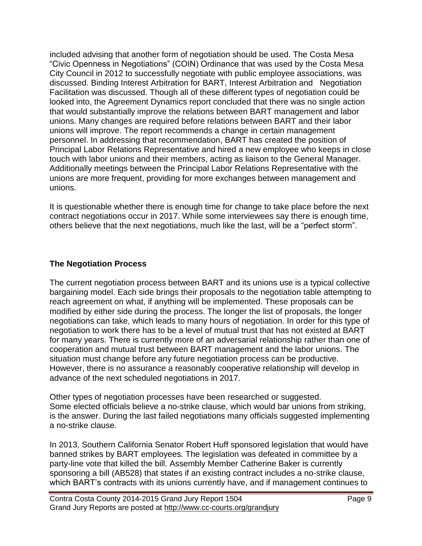included advising that another form of negotiation should be used. The Costa Mesa "Civic Openness in Negotiations" (COIN) Ordinance that was used by the Costa Mesa City Council in 2012 to successfully negotiate with public employee associations, was discussed. Binding Interest Arbitration for BART, Interest Arbitration and Negotiation Facilitation was discussed. Though all of these different types of negotiation could be looked into, the Agreement Dynamics report concluded that there was no single action that would substantially improve the relations between BART management and labor unions. Many changes are required before relations between BART and their labor unions will improve. The report recommends a change in certain management personnel. In addressing that recommendation, BART has created the position of Principal Labor Relations Representative and hired a new employee who keeps in close touch with labor unions and their members, acting as liaison to the General Manager. Additionally meetings between the Principal Labor Relations Representative with the unions are more frequent, providing for more exchanges between management and unions.

It is questionable whether there is enough time for change to take place before the next contract negotiations occur in 2017. While some interviewees say there is enough time, others believe that the next negotiations, much like the last, will be a "perfect storm".

### **The Negotiation Process**

The current negotiation process between BART and its unions use is a typical collective bargaining model. Each side brings their proposals to the negotiation table attempting to reach agreement on what, if anything will be implemented. These proposals can be modified by either side during the process. The longer the list of proposals, the longer negotiations can take, which leads to many hours of negotiation. In order for this type of negotiation to work there has to be a level of mutual trust that has not existed at BART for many years. There is currently more of an adversarial relationship rather than one of cooperation and mutual trust between BART management and the labor unions. The situation must change before any future negotiation process can be productive. However, there is no assurance a reasonably cooperative relationship will develop in advance of the next scheduled negotiations in 2017.

Other types of negotiation processes have been researched or suggested. Some elected officials believe a no-strike clause, which would bar unions from striking, is the answer. During the last failed negotiations many officials suggested implementing a no-strike clause.

In 2013, Southern California Senator Robert Huff sponsored legislation that would have banned strikes by BART employees. The legislation was defeated in committee by a party-line vote that killed the bill. Assembly Member Catherine Baker is currently sponsoring a bill (AB528) that states if an existing contract includes a no-strike clause, which BART's contracts with its unions currently have, and if management continues to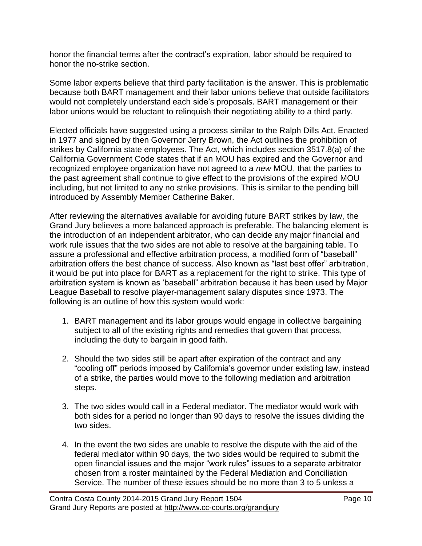honor the financial terms after the contract's expiration, labor should be required to honor the no-strike section.

Some labor experts believe that third party facilitation is the answer. This is problematic because both BART management and their labor unions believe that outside facilitators would not completely understand each side's proposals. BART management or their labor unions would be reluctant to relinquish their negotiating ability to a third party.

Elected officials have suggested using a process similar to the Ralph Dills Act. Enacted in 1977 and signed by then Governor Jerry Brown, the Act outlines the prohibition of strikes by California state employees. The Act, which includes section 3517.8(a) of the California Government Code states that if an MOU has expired and the Governor and recognized employee organization have not agreed to a *new* MOU, that the parties to the past agreement shall continue to give effect to the provisions of the expired MOU including, but not limited to any no strike provisions. This is similar to the pending bill introduced by Assembly Member Catherine Baker.

After reviewing the alternatives available for avoiding future BART strikes by law, the Grand Jury believes a more balanced approach is preferable. The balancing element is the introduction of an independent arbitrator, who can decide any major financial and work rule issues that the two sides are not able to resolve at the bargaining table. To assure a professional and effective arbitration process, a modified form of "baseball" arbitration offers the best chance of success. Also known as "last best offer" arbitration, it would be put into place for BART as a replacement for the right to strike. This type of arbitration system is known as 'baseball" arbitration because it has been used by Major League Baseball to resolve player-management salary disputes since 1973. The following is an outline of how this system would work:

- 1. BART management and its labor groups would engage in collective bargaining subject to all of the existing rights and remedies that govern that process, including the duty to bargain in good faith.
- 2. Should the two sides still be apart after expiration of the contract and any "cooling off" periods imposed by California's governor under existing law, instead of a strike, the parties would move to the following mediation and arbitration steps.
- 3. The two sides would call in a Federal mediator. The mediator would work with both sides for a period no longer than 90 days to resolve the issues dividing the two sides.
- 4. In the event the two sides are unable to resolve the dispute with the aid of the federal mediator within 90 days, the two sides would be required to submit the open financial issues and the major "work rules" issues to a separate arbitrator chosen from a roster maintained by the Federal Mediation and Conciliation Service. The number of these issues should be no more than 3 to 5 unless a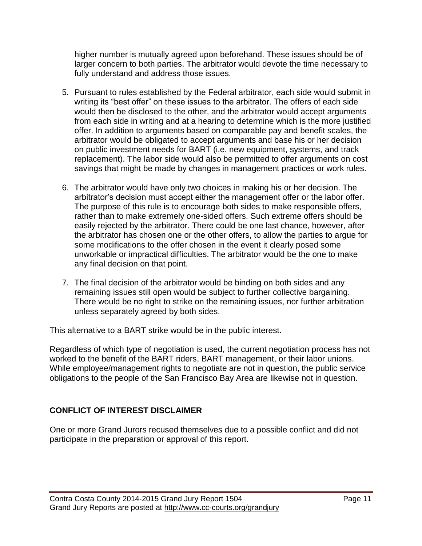higher number is mutually agreed upon beforehand. These issues should be of larger concern to both parties. The arbitrator would devote the time necessary to fully understand and address those issues.

- 5. Pursuant to rules established by the Federal arbitrator, each side would submit in writing its "best offer" on these issues to the arbitrator. The offers of each side would then be disclosed to the other, and the arbitrator would accept arguments from each side in writing and at a hearing to determine which is the more justified offer. In addition to arguments based on comparable pay and benefit scales, the arbitrator would be obligated to accept arguments and base his or her decision on public investment needs for BART (i.e. new equipment, systems, and track replacement). The labor side would also be permitted to offer arguments on cost savings that might be made by changes in management practices or work rules.
- 6. The arbitrator would have only two choices in making his or her decision. The arbitrator's decision must accept either the management offer or the labor offer. The purpose of this rule is to encourage both sides to make responsible offers, rather than to make extremely one-sided offers. Such extreme offers should be easily rejected by the arbitrator. There could be one last chance, however, after the arbitrator has chosen one or the other offers, to allow the parties to argue for some modifications to the offer chosen in the event it clearly posed some unworkable or impractical difficulties. The arbitrator would be the one to make any final decision on that point.
- 7. The final decision of the arbitrator would be binding on both sides and any remaining issues still open would be subject to further collective bargaining. There would be no right to strike on the remaining issues, nor further arbitration unless separately agreed by both sides.

This alternative to a BART strike would be in the public interest.

Regardless of which type of negotiation is used, the current negotiation process has not worked to the benefit of the BART riders, BART management, or their labor unions. While employee/management rights to negotiate are not in question, the public service obligations to the people of the San Francisco Bay Area are likewise not in question.

## **CONFLICT OF INTEREST DISCLAIMER**

One or more Grand Jurors recused themselves due to a possible conflict and did not participate in the preparation or approval of this report.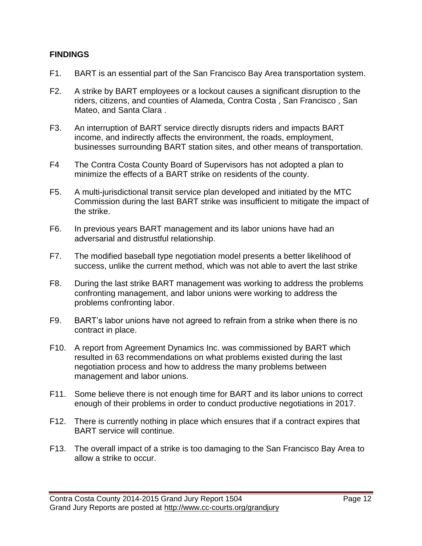#### **FINDINGS**

- F1. BART is an essential part of the San Francisco Bay Area transportation system.
- F2. A strike by BART employees or a lockout causes a significant disruption to the riders, citizens, and counties of Alameda, Contra Costa , San Francisco , San Mateo, and Santa Clara .
- F3. An interruption of BART service directly disrupts riders and impacts BART income, and indirectly affects the environment, the roads, employment, businesses surrounding BART station sites, and other means of transportation.
- F4 The Contra Costa County Board of Supervisors has not adopted a plan to minimize the effects of a BART strike on residents of the county.
- F5. A multi-jurisdictional transit service plan developed and initiated by the MTC Commission during the last BART strike was insufficient to mitigate the impact of the strike.
- F6. In previous years BART management and its labor unions have had an adversarial and distrustful relationship.
- F7. The modified baseball type negotiation model presents a better likelihood of success, unlike the current method, which was not able to avert the last strike
- F8. During the last strike BART management was working to address the problems confronting management, and labor unions were working to address the problems confronting labor.
- F9. BART's labor unions have not agreed to refrain from a strike when there is no contract in place.
- F10. A report from Agreement Dynamics Inc. was commissioned by BART which resulted in 63 recommendations on what problems existed during the last negotiation process and how to address the many problems between management and labor unions.
- F11. Some believe there is not enough time for BART and its labor unions to correct enough of their problems in order to conduct productive negotiations in 2017.
- F12. There is currently nothing in place which ensures that if a contract expires that BART service will continue.
- F13. The overall impact of a strike is too damaging to the San Francisco Bay Area to allow a strike to occur.